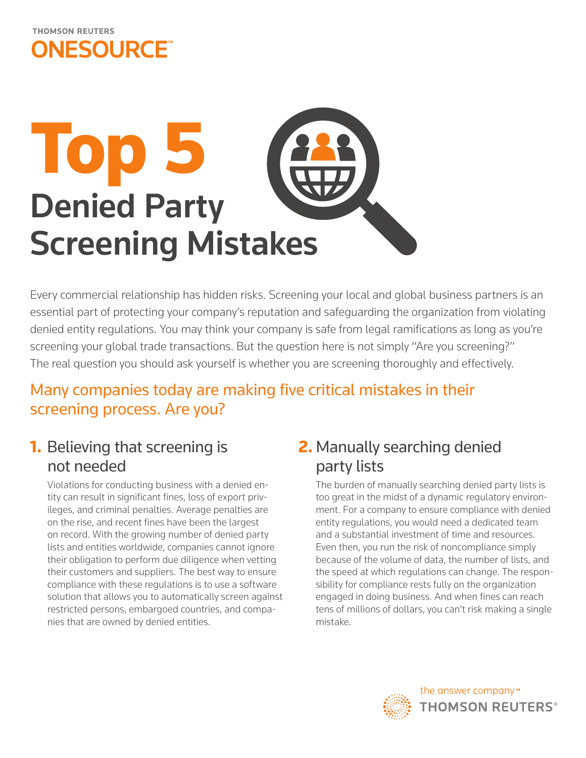

# $\overline{\phantom{a}}$ Denied Party Screening Mistakes

Every commercial relationship has hidden risks. Screening your local and global business partners is an essential part of protecting your company's reputation and safeguarding the organization from violating denied entity regulations. You may think your company is safe from legal ramifications as long as you're screening your global trade transactions. But the question here is not simply "Are you screening?" The real question you should ask yourself is whether you are screening thoroughly and effectively.

## Many companies today are making five critical mistakes in their screening process. Are you?

## **1.** Believing that screening is not needed

Violations for conducting business with a denied entity can result in significant fines, loss of export privileges, and criminal penalties. Average penalties are on the rise, and recent fines have been the largest on record. With the growing number of denied party lists and entities worldwide, companies cannot ignore their obligation to perform due diligence when vetting their customers and suppliers. The best way to ensure compliance with these regulations is to use a software solution that allows you to automatically screen against restricted persons, embargoed countries, and companies that are owned by denied entities.

## 2. Manually searching denied party lists

The burden of manually searching denied party lists is too great in the midst of a dynamic regulatory environment. For a company to ensure compliance with denied entity regulations, you would need a dedicated team and a substantial investment of time and resources. Even then, you run the risk of noncompliance simply because of the volume of data, the number of lists, and the speed at which regulations can change. The responsibility for compliance rests fully on the organization engaged in doing business. And when fines can reach tens of millions of dollars, you can't risk making a single mistake.